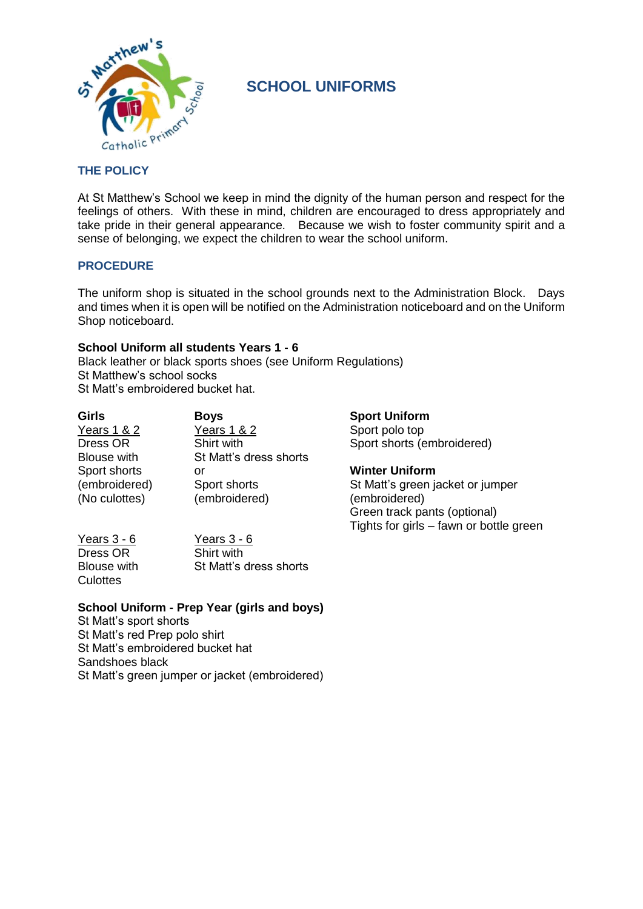

## **SCHOOL UNIFORMS**

## **THE POLICY**

At St Matthew's School we keep in mind the dignity of the human person and respect for the feelings of others. With these in mind, children are encouraged to dress appropriately and take pride in their general appearance. Because we wish to foster community spirit and a sense of belonging, we expect the children to wear the school uniform.

#### **PROCEDURE**

The uniform shop is situated in the school grounds next to the Administration Block. Days and times when it is open will be notified on the Administration noticeboard and on the Uniform Shop noticeboard.

#### **School Uniform all students Years 1 - 6**

Black leather or black sports shoes (see Uniform Regulations) St Matthew's school socks St Matt's embroidered bucket hat.

| Girls              | <b>Boys</b>            |
|--------------------|------------------------|
| Years 1 & 2        | Years 1 & 2            |
| Dress OR           | Shirt with             |
| <b>Blouse with</b> | St Matt's dress shorts |
| Sport shorts       | or                     |
| (embroidered)      | Sport shorts           |
| (No culottes)      | (embroidered)          |

**Sport Uniform** Sport polo top Sport shorts (embroidered)

**Winter Uniform** St Matt's green jacket or jumper (embroidered) Green track pants (optional)

Tights for girls – fawn or bottle green

Years 3 - 6 Years 3 - 6 Dress OR Shirt with Culottes

Blouse with St Matt's dress shorts

### **School Uniform - Prep Year (girls and boys)**

St Matt's sport shorts St Matt's red Prep polo shirt St Matt's embroidered bucket hat Sandshoes black St Matt's green jumper or jacket (embroidered)